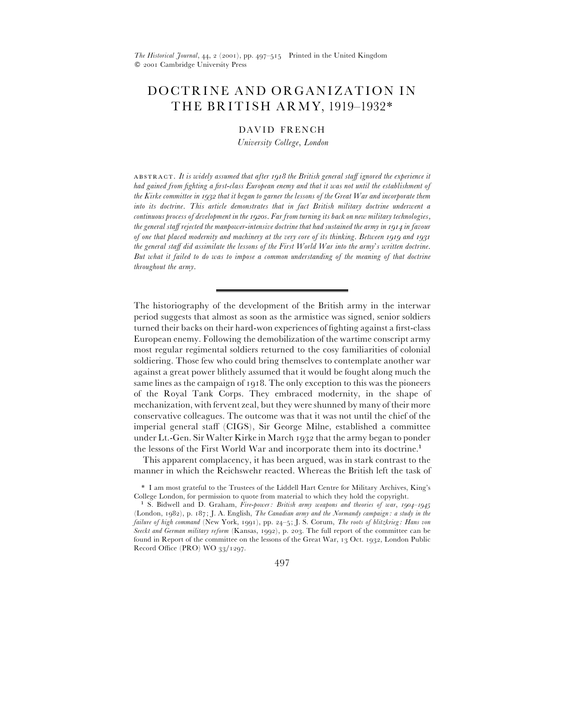# DOCTRINE AND ORGANIZATION IN THE BRITISH ARMY, 1919–1932\*

### DAVID FRENCH

*University College*, *London*

. *It is widely assumed that after the British general staff ignored the experience it had gained from fighting a first-class European enemy and that it was not until the establishment of the Kirke committee in that it began to garner the lessons of the Great War and incorporate them into its doctrine. This article demonstrates that in fact British military doctrine underwent a continuous process of development in the 1920s. Far from turning its back on new military technologies, the general staff rejected the manpower-intensive doctrine that had sustained the army in in favour of one that placed modernity and machinery at the very core of its thinking. Between and the general staff did assimilate the lessons of the First World War into the army*'*s written doctrine*. *But what it failed to do was to impose a common understanding of the meaning of that doctrine throughout the army*.

The historiography of the development of the British army in the interwar period suggests that almost as soon as the armistice was signed, senior soldiers turned their backs on their hard-won experiences of fighting against a first-class European enemy. Following the demobilization of the wartime conscript army most regular regimental soldiers returned to the cosy familiarities of colonial soldiering. Those few who could bring themselves to contemplate another war against a great power blithely assumed that it would be fought along much the same lines as the campaign of 1918. The only exception to this was the pioneers of the Royal Tank Corps. They embraced modernity, in the shape of mechanization, with fervent zeal, but they were shunned by many of their more conservative colleagues. The outcome was that it was not until the chief of the imperial general staff (CIGS), Sir George Milne, established a committee under Lt.-Gen. Sir Walter Kirke in March 1932 that the army began to ponder the lessons of the First World War and incorporate them into its doctrine.<sup>1</sup>

This apparent complacency, it has been argued, was in stark contrast to the manner in which the Reichswehr reacted. Whereas the British left the task of

497

<sup>\*</sup> I am most grateful to the Trustees of the Liddell Hart Centre for Military Archives, King's College London, for permission to quote from material to which they hold the copyright.

<sup>&</sup>lt;sup>1</sup> S. Bidwell and D. Graham, *Fire-power: British army weapons and theories of war*, *1904–1945* (London, ), p. ; J. A. English, *The Canadian army and the Normandy campaign : a study in the failure of high command* (New York, 1991), pp. 24-5; J. S. Corum, *The roots of blitzkrieg : Hans von* Seeckt and German military reform (Kansas, 1992), p. 203. The full report of the committee can be found in Report of the committee on the lessons of the Great War,  $13$  Oct. 1932, London Public Record Office (PRO) WO  $33/1297$ .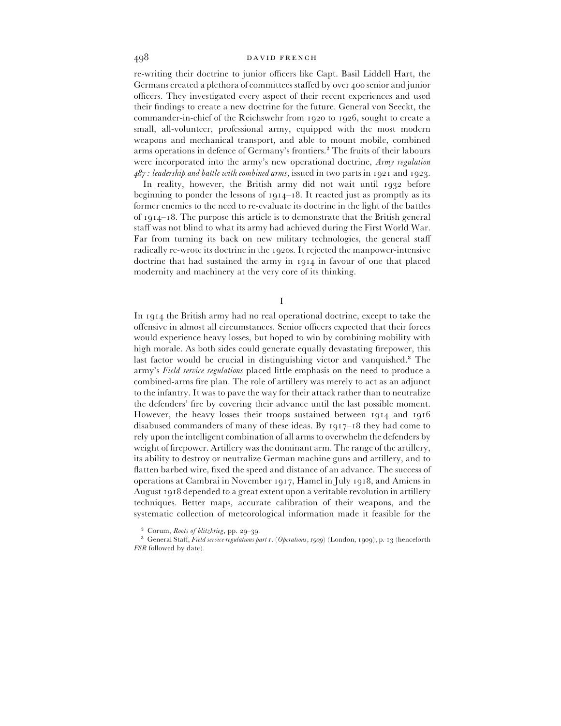re-writing their doctrine to junior officers like Capt. Basil Liddell Hart, the Germans created a plethora of committees staffed by over 400 senior and junior officers. They investigated every aspect of their recent experiences and used their findings to create a new doctrine for the future. General von Seeckt, the commander-in-chief of the Reichswehr from  $1920$  to  $1926$ , sought to create a small, all-volunteer, professional army, equipped with the most modern weapons and mechanical transport, and able to mount mobile, combined arms operations in defence of Germany's frontiers.<sup>2</sup> The fruits of their labours were incorporated into the army's new operational doctrine, *Army regulation*  $487$ : leadership and battle with combined arms, issued in two parts in  $1921$  and  $1923$ .

In reality, however, the British army did not wait until 1932 before beginning to ponder the lessons of  $1914-18$ . It reacted just as promptly as its former enemies to the need to re-evaluate its doctrine in the light of the battles of  $1914 - 18$ . The purpose this article is to demonstrate that the British general staff was not blind to what its army had achieved during the First World War. Far from turning its back on new military technologies, the general staff radically re-wrote its doctrine in the 1920s. It rejected the manpower-intensive doctrine that had sustained the army in 1914 in favour of one that placed modernity and machinery at the very core of its thinking.

I

In 1914 the British army had no real operational doctrine, except to take the offensive in almost all circumstances. Senior officers expected that their forces would experience heavy losses, but hoped to win by combining mobility with high morale. As both sides could generate equally devastating firepower, this last factor would be crucial in distinguishing victor and vanquished.<sup>3</sup> The army's *Field service regulations* placed little emphasis on the need to produce a combined-arms fire plan. The role of artillery was merely to act as an adjunct to the infantry. It was to pave the way for their attack rather than to neutralize the defenders' fire by covering their advance until the last possible moment. However, the heavy losses their troops sustained between 1914 and 1916 disabused commanders of many of these ideas. By  $1917-18$  they had come to rely upon the intelligent combination of all arms to overwhelm the defenders by weight of firepower. Artillery was the dominant arm. The range of the artillery, its ability to destroy or neutralize German machine guns and artillery, and to flatten barbed wire, fixed the speed and distance of an advance. The success of operations at Cambrai in November 1917, Hamel in July 1918, and Amiens in August 1918 depended to a great extent upon a veritable revolution in artillery techniques. Better maps, accurate calibration of their weapons, and the systematic collection of meteorological information made it feasible for the

<sup>&</sup>lt;sup>2</sup> Corum, *Roots of blitzkrieg*, pp. 29–39.

<sup>&</sup>lt;sup>3</sup> General Staff, *Field service regulations part 1.* (*Operations, 1909*) (London, 1909), p. 13 (henceforth *FSR* followed by date).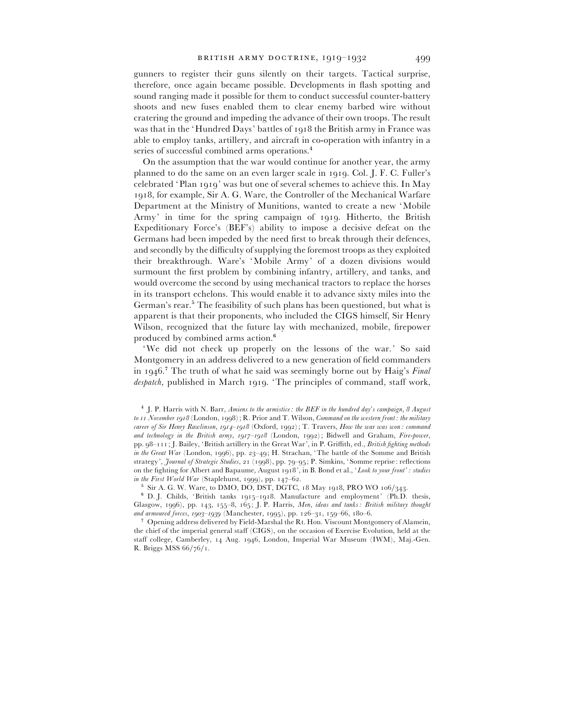gunners to register their guns silently on their targets. Tactical surprise, therefore, once again became possible. Developments in flash spotting and sound ranging made it possible for them to conduct successful counter-battery shoots and new fuses enabled them to clear enemy barbed wire without cratering the ground and impeding the advance of their own troops. The result was that in the 'Hundred Days' battles of 1918 the British army in France was able to employ tanks, artillery, and aircraft in co-operation with infantry in a series of successful combined arms operations.<sup>4</sup>

On the assumption that the war would continue for another year, the army planned to do the same on an even larger scale in 1919. Col. J. F. C. Fuller's celebrated 'Plan 1919' was but one of several schemes to achieve this. In May 1918, for example, Sir A. G. Ware, the Controller of the Mechanical Warfare Department at the Ministry of Munitions, wanted to create a new 'Mobile Army' in time for the spring campaign of 1919. Hitherto, the British Expeditionary Force's (BEF's) ability to impose a decisive defeat on the Germans had been impeded by the need first to break through their defences, and secondly by the difficulty of supplying the foremost troops as they exploited their breakthrough. Ware's 'Mobile Army' of a dozen divisions would surmount the first problem by combining infantry, artillery, and tanks, and would overcome the second by using mechanical tractors to replace the horses in its transport echelons. This would enable it to advance sixty miles into the German's rear.<sup>5</sup> The feasibility of such plans has been questioned, but what is apparent is that their proponents, who included the CIGS himself, Sir Henry Wilson, recognized that the future lay with mechanized, mobile, firepower produced by combined arms action.'

'We did not check up properly on the lessons of the war.' So said Montgomery in an address delivered to a new generation of field commanders in 1946.<sup>7</sup> The truth of what he said was seemingly borne out by Haig's *Final* despatch, published in March 1919. 'The principles of command, staff work,

 $6$  D. J. Childs, 'British tanks 1915–1918. Manufacture and employment' (Ph.D. thesis, Glasgow, 1996), pp. 143, 155-8, 165; J. P. Harris, *Men, ideas and tanks: British military thought and armoured forces, 1903–1939* (Manchester, 1995), pp. 126–31, 159–66, 180–6.

 Opening address delivered by Field-Marshal the Rt. Hon. Viscount Montgomery of Alamein, the chief of the imperial general staff (CIGS), on the occasion of Exercise Evolution, held at the staff college, Camberley, 14 Aug. 1946, London, Imperial War Museum (IWM), Maj.-Gen. R. Briggs MSS  $66/76/1$ .

<sup>%</sup> J. P. Harris with N. Barr, *Amiens to the armistice : the BEF in the hundred day*'*s campaign*, *August* to *II November 1918* (London, 1998); R. Prior and T. Wilson, *Command on the western front : the military career of Sir Henry Rawlinson, 1914–1918* (Oxford, 1992); T. Travers, *How the war was won: command* and technology in the British army,  $1917 - 1918$  (London, 1992); Bidwell and Graham, *Fire-power*, pp. 98-111; J. Bailey, 'British artillery in the Great War', in P. Griffith, ed., *British fighting methods in the Great War* (London, 1996), pp. 23-49; H. Strachan, 'The battle of the Somme and British strategy', *Journal of Strategic Studies*, 21 (1998), pp. 79-95; P. Simkins, 'Somme reprise: reflections on the fighting for Albert and Bapaume, August 1918', in B. Bond et al., 'Look to your front': studies *in the First World War* (Staplehurst, 1999), pp. 147–62.

 $5$  Sir A. G. W. Ware, to DMO, DO, DST, DGTC, 18 May 1918, PRO WO 106/343.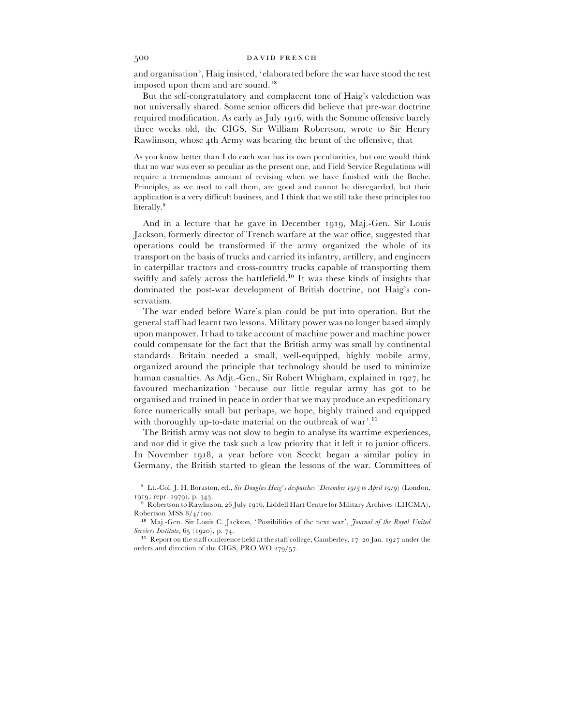and organisation', Haig insisted, 'elaborated before the war have stood the test imposed upon them and are sound.'<sup>8</sup>

But the self-congratulatory and complacent tone of Haig's valediction was not universally shared. Some senior officers did believe that pre-war doctrine required modification. As early as July 1916, with the Somme offensive barely three weeks old, the CIGS, Sir William Robertson, wrote to Sir Henry Rawlinson, whose 4th Army was bearing the brunt of the offensive, that

As you know better than I do each war has its own peculiarities, but one would think that no war was ever so peculiar as the present one, and Field Service Regulations will require a tremendous amount of revising when we have finished with the Boche. Principles, as we used to call them, are good and cannot be disregarded, but their application is a very difficult business, and I think that we still take these principles too literally.<sup>9</sup>

And in a lecture that he gave in December 1919, Maj.-Gen. Sir Louis Jackson, formerly director of Trench warfare at the war office, suggested that operations could be transformed if the army organized the whole of its transport on the basis of trucks and carried its infantry, artillery, and engineers in caterpillar tractors and cross-country trucks capable of transporting them swiftly and safely across the battlefield.<sup>10</sup> It was these kinds of insights that dominated the post-war development of British doctrine, not Haig's conservatism.

The war ended before Ware's plan could be put into operation. But the general staff had learnt two lessons. Military power was no longer based simply upon manpower. It had to take account of machine power and machine power could compensate for the fact that the British army was small by continental standards. Britain needed a small, well-equipped, highly mobile army, organized around the principle that technology should be used to minimize human casualties. As Adjt.-Gen., Sir Robert Whigham, explained in 1927, he favoured mechanization 'because our little regular army has got to be organised and trained in peace in order that we may produce an expeditionary force numerically small but perhaps, we hope, highly trained and equipped with thoroughly up-to-date material on the outbreak of war'.<sup>11</sup>

The British army was not slow to begin to analyse its wartime experiences, and nor did it give the task such a low priority that it left it to junior officers. In November 1918, a year before von Seeckt began a similar policy in Germany, the British started to glean the lessons of the war. Committees of

) Lt.-Col. J. H. Boraston, ed., *Sir Douglas Haig*'*s despatches* (*December to April* ) (London,  $1919$ ; repr.  $1979$ ), p. 343.

 $^9$  Robertson to Rawlinson, 26 July 1916, Liddell Hart Centre for Military Archives (LHCMA), Robertson MSS  $\frac{8}{4}$ /100.

Maj.-Gen. Sir Louis C. Jackson, 'Possibilities of the next war', *Journal of the Royal United Services Institute*, 65 (1920), p. 74.

<sup>&</sup>lt;sup>11</sup> Report on the staff conference held at the staff college, Camberley,  $17-20$  Jan.  $1927$  under the orders and direction of the CIGS, PRO WO  $279/57$ .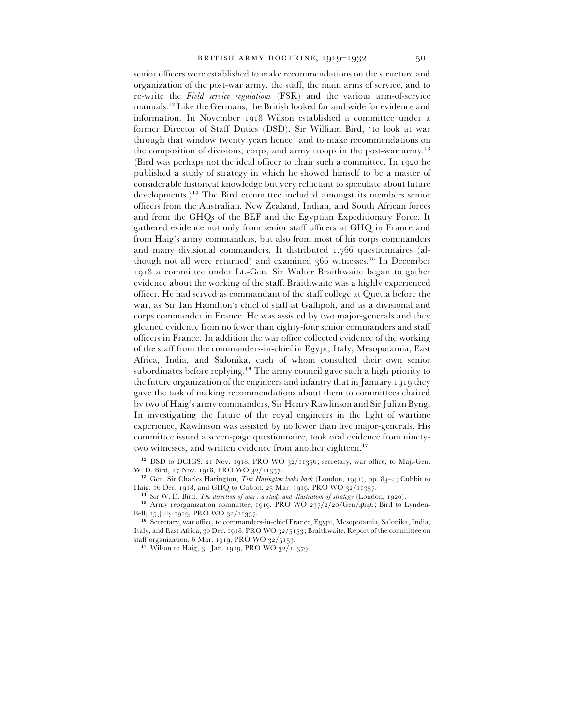senior officers were established to make recommendations on the structure and organization of the post-war army, the staff, the main arms of service, and to re-write the *Field service regulations* (FSR) and the various arm-of-service manuals.<sup>12</sup> Like the Germans, the British looked far and wide for evidence and information. In November 1918 Wilson established a committee under a former Director of Staff Duties (DSD), Sir William Bird, 'to look at war through that window twenty years hence' and to make recommendations on the composition of divisions, corps, and army troops in the post-war army.<sup>13</sup> (Bird was perhaps not the ideal officer to chair such a committee. In  $1920$  he published a study of strategy in which he showed himself to be a master of considerable historical knowledge but very reluctant to speculate about future  $developments.$ <sup>14</sup> The Bird committee included amongst its members senior officers from the Australian, New Zealand, Indian, and South African forces and from the GHQs of the BEF and the Egyptian Expeditionary Force. It gathered evidence not only from senior staff officers at GHQ in France and from Haig's army commanders, but also from most of his corps commanders and many divisional commanders. It distributed  $1,766$  questionnaires (although not all were returned) and examined  $366$  witnesses.<sup>15</sup> In December 1918 a committee under Lt.-Gen. Sir Walter Braithwaite began to gather evidence about the working of the staff. Braithwaite was a highly experienced officer. He had served as commandant of the staff college at Quetta before the war, as Sir Ian Hamilton's chief of staff at Gallipoli, and as a divisional and corps commander in France. He was assisted by two major-generals and they gleaned evidence from no fewer than eighty-four senior commanders and staff officers in France. In addition the war office collected evidence of the working of the staff from the commanders-in-chief in Egypt, Italy, Mesopotamia, East Africa, India, and Salonika, each of whom consulted their own senior subordinates before replying.<sup>16</sup> The army council gave such a high priority to the future organization of the engineers and infantry that in January 1919 they gave the task of making recommendations about them to committees chaired by two of Haig's army commanders, Sir Henry Rawlinson and Sir Julian Byng. In investigating the future of the royal engineers in the light of wartime experience, Rawlinson was assisted by no fewer than five major-generals. His committee issued a seven-page questionnaire, took oral evidence from ninetytwo witnesses, and written evidence from another eighteen.<sup>17</sup>

 $\frac{12}{12}$  DSD to DCIGS, 21 Nov. 1918, PRO WO 32/11356; secretary, war office, to Maj.-Gen. W. D. Bird, 27 Nov. 1918, PRO WO 32/11357.

<sup>13</sup> Gen. Sir Charles Harington, *Tim Harington looks back* (London, 1941), pp. 83-4; Cubbit to Haig, 16 Dec. 1918, and GHQ to Cubbit, 25 Mar. 1919, PRO WO  $32/11357$ .

<sup>14</sup> Sir W. D. Bird, *The direction of war: a study and illustration of strategy* (London, 1920).

 $^{21}$  Sir W. D. Bird, *I he direction of war: a study and illustration of strategy* (London, 1920).<br><sup>15</sup> Army reorganization committee, 1919, PRO WO 237/2/20/Gen/4646; Bird to Lynden-Bell,  $_{15}$  July 1919, PRO WO 32/11357.

<sup>16</sup> Secretary, war office, to commanders-in-chief France, Egypt, Mesopotamia, Salonika, India, Italy, and East Africa, 30 Dec. 1918, PRO WO 32/5153; Braithwaite, Report of the committee on staff organization, 6 Mar. 1919, PRO WO 32/5153.

<sup>17</sup> Wilson to Haig,  $31$  Jan. 1919, PRO WO  $32/11379$ .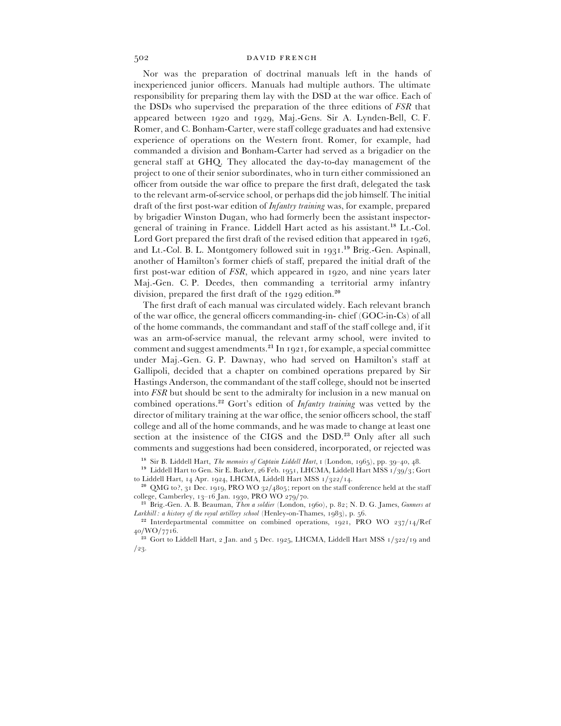Nor was the preparation of doctrinal manuals left in the hands of inexperienced junior officers. Manuals had multiple authors. The ultimate responsibility for preparing them lay with the DSD at the war office. Each of the DSDs who supervised the preparation of the three editions of *FSR* that appeared between  $1920$  and  $1929$ , Maj.-Gens. Sir A. Lynden-Bell, C. F. Romer, and C. Bonham-Carter, were staff college graduates and had extensive experience of operations on the Western front. Romer, for example, had commanded a division and Bonham-Carter had served as a brigadier on the general staff at GHQ. They allocated the day-to-day management of the project to one of their senior subordinates, who in turn either commissioned an officer from outside the war office to prepare the first draft, delegated the task to the relevant arm-of-service school, or perhaps did the job himself. The initial draft of the first post-war edition of *Infantry training* was, for example, prepared by brigadier Winston Dugan, who had formerly been the assistant inspectorgeneral of training in France. Liddell Hart acted as his assistant.<sup>18</sup> Lt.-Col. Lord Gort prepared the first draft of the revised edition that appeared in  $1926$ , and Lt.-Col. B. L. Montgomery followed suit in  $1931$ .<sup>19</sup> Brig.-Gen. Aspinall, another of Hamilton's former chiefs of staff, prepared the initial draft of the first post-war edition of *FSR*, which appeared in 1920, and nine years later Maj.-Gen. C. P. Deedes, then commanding a territorial army infantry division, prepared the first draft of the  $1929$  edition.<sup>20</sup>

The first draft of each manual was circulated widely. Each relevant branch of the war office, the general officers commanding-in- chief (GOC-in-Cs) of all of the home commands, the commandant and staff of the staff college and, if it was an arm-of-service manual, the relevant army school, were invited to comment and suggest amendments.<sup>21</sup> In 1921, for example, a special committee under Maj.-Gen. G. P. Dawnay, who had served on Hamilton's staff at Gallipoli, decided that a chapter on combined operations prepared by Sir Hastings Anderson, the commandant of the staff college, should not be inserted into *FSR* but should be sent to the admiralty for inclusion in a new manual on combined operations.<sup>22</sup> Gort's edition of *Infantry training* was vetted by the director of military training at the war office, the senior officers school, the staff college and all of the home commands, and he was made to change at least one section at the insistence of the CIGS and the DSD.<sup>23</sup> Only after all such comments and suggestions had been considered, incorporated, or rejected was

<sup>18</sup> Sir B. Liddell Hart, *The memoirs of Captain Liddell Hart*,  $\frac{1}{2}$  (London, 1965), pp. 39–40, 48.

<sup>19</sup> Liddell Hart to Gen. Sir E. Barker, 26 Feb. 1951, LHCMA, Liddell Hart MSS  $1/39/3$ ; Gort to Liddell Hart, 14 Apr. 1924, LHCMA, Liddell Hart MSS 1/322/14.

<sup>20</sup> QMG to?, 31 Dec. 1919, PRO WO 32/4805; report on the staff conference held at the staff college, Camberley, 13–16 Jan. 1930, PRO WO 279/70.

<sup>21</sup> Brig.-Gen. A. B. Beauman, *Then a soldier* (London, 1960), p. 82; N. D. G. James, *Gunners at Larkhill : a history of the royal artillery school* (Henley-on-Thames, 1983), p. 56.

<sup>22</sup> Interdepartmental committee on combined operations, 1921, PRO WO  $237/14/Ref$  $40/WO/7716.$ 

<sup>23</sup> Gort to Liddell Hart, 2 Jan. and 5 Dec. 1925, LHCMA, Liddell Hart MSS  $1/322/19$  and  $/23.$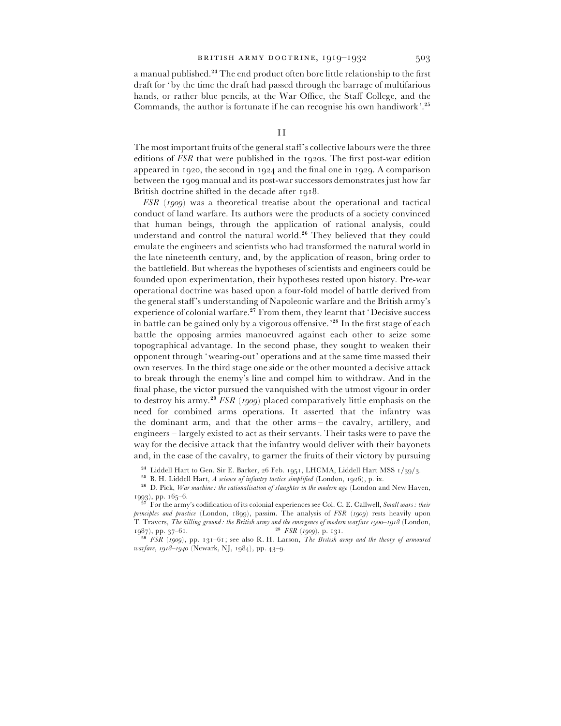a manual published.<sup>24</sup> The end product often bore little relationship to the first draft for 'by the time the draft had passed through the barrage of multifarious hands, or rather blue pencils, at the War Office, the Staff College, and the Commands, the author is fortunate if he can recognise his own handiwork'.<sup>25</sup>

The most important fruits of the general staff's collective labours were the three editions of *FSR* that were published in the 1920s. The first post-war edition appeared in 1920, the second in 1924 and the final one in 1929. A comparison between the 1909 manual and its post-war successors demonstrates just how far British doctrine shifted in the decade after 1918.

*FSR* (1909) was a theoretical treatise about the operational and tactical conduct of land warfare. Its authors were the products of a society convinced that human beings, through the application of rational analysis, could understand and control the natural world.<sup>26</sup> They believed that they could emulate the engineers and scientists who had transformed the natural world in the late nineteenth century, and, by the application of reason, bring order to the battlefield. But whereas the hypotheses of scientists and engineers could be founded upon experimentation, their hypotheses rested upon history. Pre-war operational doctrine was based upon a four-fold model of battle derived from the general staff's understanding of Napoleonic warfare and the British army's experience of colonial warfare.<sup>27</sup> From them, they learnt that 'Decisive success in battle can be gained only by a vigorous offensive.<sup>228</sup> In the first stage of each battle the opposing armies manoeuvred against each other to seize some topographical advantage. In the second phase, they sought to weaken their opponent through 'wearing-out' operations and at the same time massed their own reserves. In the third stage one side or the other mounted a decisive attack to break through the enemy's line and compel him to withdraw. And in the final phase, the victor pursued the vanquished with the utmost vigour in order to destroy his army.<sup>29</sup> *FSR* (1909) placed comparatively little emphasis on the need for combined arms operations. It asserted that the infantry was the dominant arm, and that the other arms – the cavalry, artillery, and engineers – largely existed to act as their servants. Their tasks were to pave the way for the decisive attack that the infantry would deliver with their bayonets and, in the case of the cavalry, to garner the fruits of their victory by pursuing

<sup>24</sup> Liddell Hart to Gen. Sir E. Barker, 26 Feb. 1951, LHCMA, Liddell Hart MSS 1/39/3.

<sup>25</sup> B. H. Liddell Hart, *A science of infantry tactics simplified* (London, 1926), p. ix.<br><sup>26</sup> D. Bish. *Himmarking, the articulistics of showship is the modem* and *Combiner* 

<sup>26</sup> D. Pick, *War machine: the rationalisation of slaughter in the modern age* (London and New Haven,  $(1993)$ , pp.  $(165-6)$ .

 For the army's codification of its colonial experiences see Col. C. E. Callwell, *Small wars : their*  $principle and practice$  (London, 1899), passim. The analysis of *FSR* (1909) rests heavily upon T. Travers, *The killing ground: the British army and the emergence of modern warfare 1900–1918* (London, 1987), pp. 37–61.  $1987$ , pp.  $37-61$ .

 $^{29}$  FSR (1909), pp. 131–61; see also R. H. Larson, *The British army and the theory of armoured warfare*, 1918-1940 (Newark, NJ, 1984), pp. 43-9.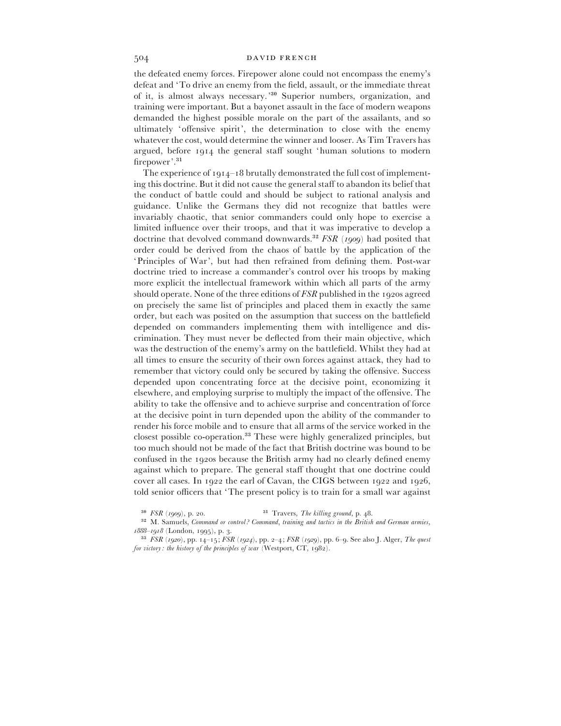the defeated enemy forces. Firepower alone could not encompass the enemy's defeat and 'To drive an enemy from the field, assault, or the immediate threat of it, is almost always necessary.<sup>30</sup> Superior numbers, organization, and training were important. But a bayonet assault in the face of modern weapons demanded the highest possible morale on the part of the assailants, and so ultimately 'offensive spirit', the determination to close with the enemy whatever the cost, would determine the winner and looser. As Tim Travers has argued, before 1914 the general staff sought 'human solutions to modern firepower'.<sup>31</sup>

The experience of  $1914-18$  brutally demonstrated the full cost of implementing this doctrine. But it did not cause the general staff to abandon its belief that the conduct of battle could and should be subject to rational analysis and guidance. Unlike the Germans they did not recognize that battles were invariably chaotic, that senior commanders could only hope to exercise a limited influence over their troops, and that it was imperative to develop a doctrine that devolved command downwards.<sup>32</sup> *FSR* ( $1909$ ) had posited that order could be derived from the chaos of battle by the application of the 'Principles of War', but had then refrained from defining them. Post-war doctrine tried to increase a commander's control over his troops by making more explicit the intellectual framework within which all parts of the army should operate. None of the three editions of *FSR* published in the 1920s agreed on precisely the same list of principles and placed them in exactly the same order, but each was posited on the assumption that success on the battlefield depended on commanders implementing them with intelligence and discrimination. They must never be deflected from their main objective, which was the destruction of the enemy's army on the battlefield. Whilst they had at all times to ensure the security of their own forces against attack, they had to remember that victory could only be secured by taking the offensive. Success depended upon concentrating force at the decisive point, economizing it elsewhere, and employing surprise to multiply the impact of the offensive. The ability to take the offensive and to achieve surprise and concentration of force at the decisive point in turn depended upon the ability of the commander to render his force mobile and to ensure that all arms of the service worked in the closest possible co-operation.<sup>33</sup> These were highly generalized principles, but too much should not be made of the fact that British doctrine was bound to be confused in the 1920s because the British army had no clearly defined enemy against which to prepare. The general staff thought that one doctrine could cover all cases. In  $1922$  the earl of Cavan, the CIGS between  $1922$  and  $1926$ , told senior officers that 'The present policy is to train for a small war against

<sup>...&</sup>lt;br>... <sup>31</sup> Travers, *The killing ground*, p. 48.  $\frac{50}{99}$ 

M. Samuels, *Command or control ? Command*, *training and tactics in the British and German armies*, *1888–1918* (London, 1995), p. 3.

<sup>&</sup>lt;sup>33</sup>  $FSR (1920)$ , pp.  $14-15$ ;  $FSR (1924)$ , pp. 2-4;  $FSR (1929)$ , pp. 6-9. See also J. Alger, *The quest for victory: the history of the principles of war* (Westport, CT, 1982).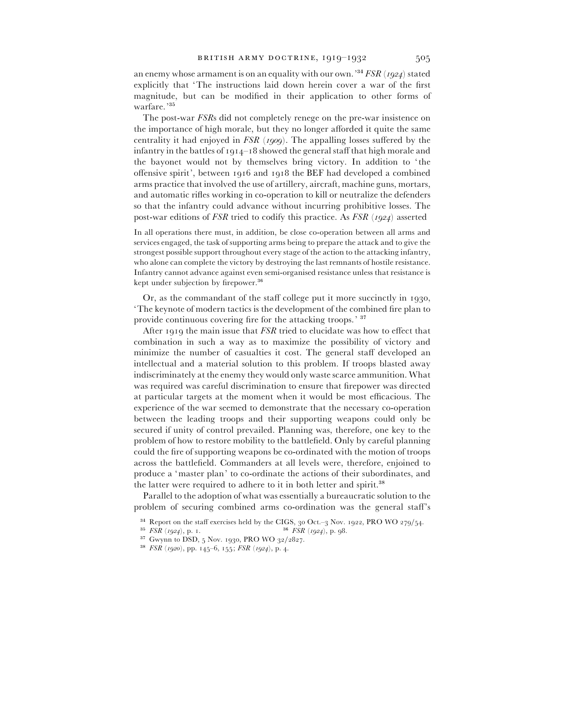an enemy whose armament is on an equality with our own.<sup>34</sup> FSR (1924) stated explicitly that 'The instructions laid down herein cover a war of the first magnitude, but can be modified in their application to other forms of warfare.'35

The post-war *FSR*s did not completely renege on the pre-war insistence on the importance of high morale, but they no longer afforded it quite the same centrality it had enjoyed in *FSR* (1909). The appalling losses suffered by the infantry in the battles of  $1914 - 18$  showed the general staff that high morale and the bayonet would not by themselves bring victory. In addition to ' the offensive spirit', between  $1916$  and  $1918$  the BEF had developed a combined arms practice that involved the use of artillery, aircraft, machine guns, mortars, and automatic rifles working in co-operation to kill or neutralize the defenders so that the infantry could advance without incurring prohibitive losses. The post-war editions of *FSR* tried to codify this practice. As *FSR* (1924) asserted

In all operations there must, in addition, be close co-operation between all arms and services engaged, the task of supporting arms being to prepare the attack and to give the strongest possible support throughout every stage of the action to the attacking infantry, who alone can complete the victory by destroying the last remnants of hostile resistance. Infantry cannot advance against even semi-organised resistance unless that resistance is kept under subjection by firepower.<sup>36</sup>

Or, as the commandant of the staff college put it more succinctly in 1930, 'The keynote of modern tactics is the development of the combined fire plan to provide continuous covering fire for the attacking troops.' <sup>37</sup>

After 1919 the main issue that *FSR* tried to elucidate was how to effect that combination in such a way as to maximize the possibility of victory and minimize the number of casualties it cost. The general staff developed an intellectual and a material solution to this problem. If troops blasted away indiscriminately at the enemy they would only waste scarce ammunition. What was required was careful discrimination to ensure that firepower was directed at particular targets at the moment when it would be most efficacious. The experience of the war seemed to demonstrate that the necessary co-operation between the leading troops and their supporting weapons could only be secured if unity of control prevailed. Planning was, therefore, one key to the problem of how to restore mobility to the battlefield. Only by careful planning could the fire of supporting weapons be co-ordinated with the motion of troops across the battlefield. Commanders at all levels were, therefore, enjoined to produce a 'master plan' to co-ordinate the actions of their subordinates, and the latter were required to adhere to it in both letter and spirit. $38$ 

Parallel to the adoption of what was essentially a bureaucratic solution to the problem of securing combined arms co-ordination was the general staff's

- $^{35}$   $\overrightarrow{FSR}$  (1924), p. 1.
- $^{37}$  Gwynn to DSD, 5 Nov. 1930, PRO WO 32/2827.
- <sup>38</sup> *FSR* (*1920*), pp. 145–6, 155; *FSR* (*1924*), p. 4.

<sup>&</sup>lt;sup>34</sup> Report on the staff exercises held by the CIGS,  $30$  Oct.– $3$  Nov. 1922, PRO WO 279/54.<br><sup>35</sup> *FSR* (1924), p. 1.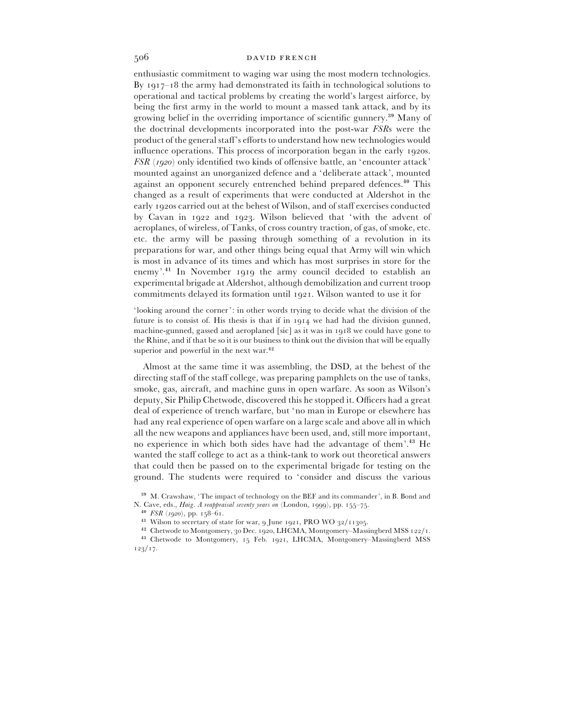enthusiastic commitment to waging war using the most modern technologies. By  $1917 - 18$  the army had demonstrated its faith in technological solutions to operational and tactical problems by creating the world's largest airforce, by being the first army in the world to mount a massed tank attack, and by its growing belief in the overriding importance of scientific gunnery.<sup>39</sup> Many of the doctrinal developments incorporated into the post-war *FSR*s were the product of the general staff's efforts to understand how new technologies would influence operations. This process of incorporation began in the early 1920s. *FSR* (1920) only identified two kinds of offensive battle, an 'encounter attack' mounted against an unorganized defence and a 'deliberate attack', mounted against an opponent securely entrenched behind prepared defences.<sup>40</sup> This changed as a result of experiments that were conducted at Aldershot in the early 1920s carried out at the behest of Wilson, and of staff exercises conducted by Cavan in 1922 and 1923. Wilson believed that 'with the advent of aeroplanes, of wireless, of Tanks, of cross country traction, of gas, of smoke, etc. etc. the army will be passing through something of a revolution in its preparations for war, and other things being equal that Army will win which is most in advance of its times and which has most surprises in store for the enemy'.<sup>41</sup> In November 1919 the army council decided to establish an experimental brigade at Aldershot, although demobilization and current troop commitments delayed its formation until 1921. Wilson wanted to use it for

'looking around the corner': in other words trying to decide what the division of the future is to consist of. His thesis is that if in  $1914$  we had had the division gunned, machine-gunned, gassed and aeroplaned [sic] as it was in  $1918$  we could have gone to the Rhine, and if that be so it is our business to think out the division that will be equally superior and powerful in the next war. $42$ 

Almost at the same time it was assembling, the DSD, at the behest of the directing staff of the staff college, was preparing pamphlets on the use of tanks, smoke, gas, aircraft, and machine guns in open warfare. As soon as Wilson's deputy, Sir Philip Chetwode, discovered this he stopped it. Officers had a great deal of experience of trench warfare, but 'no man in Europe or elsewhere has had any real experience of open warfare on a large scale and above all in which all the new weapons and appliances have been used, and, still more important, no experience in which both sides have had the advantage of them'.<sup>43</sup> He wanted the staff college to act as a think-tank to work out theoretical answers that could then be passed on to the experimental brigade for testing on the ground. The students were required to 'consider and discuss the various

<sup>39</sup> M. Crawshaw, 'The impact of technology on the BEF and its commander', in B. Bond and N. Cave, eds., *Haig. A reappraisal seventy years on* (London, 1999), pp. 155-75.

 $^{42}$  Chetwode to Montgomery, 30 Dec. 1920, LHCMA, Montgomery–Massingberd MSS 122/1.

 $^{40}$  *FSR* (*1920*), pp. 158–61.

<sup>&</sup>lt;sup>41</sup> Wilson to secretary of state for war, 9 June 1921, PRO WO 32/11305.

<sup>&</sup>lt;sup>43</sup> Chetwode to Montgomery, 15 Feb. 1921, LHCMA, Montgomery-Massingberd MSS  $123/17.$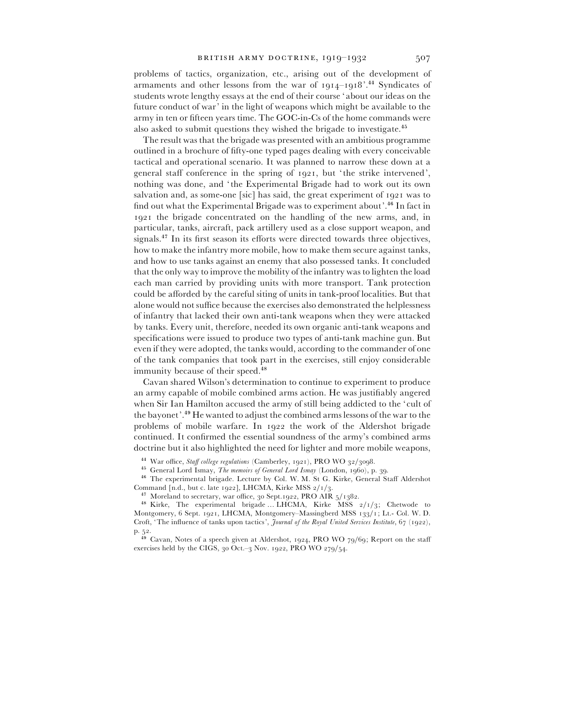problems of tactics, organization, etc., arising out of the development of armaments and other lessons from the war of  $1914-1918$ <sup>2</sup>.<sup>44</sup> Syndicates of students wrote lengthy essays at the end of their course ' about our ideas on the future conduct of war' in the light of weapons which might be available to the army in ten or fifteen years time. The GOC-in-Cs of the home commands were also asked to submit questions they wished the brigade to investigate.<sup>45</sup>

The result was that the brigade was presented with an ambitious programme outlined in a brochure of fifty-one typed pages dealing with every conceivable tactical and operational scenario. It was planned to narrow these down at a general staff conference in the spring of  $1921$ , but 'the strike intervened', nothing was done, and ' the Experimental Brigade had to work out its own salvation and, as some-one [sic] has said, the great experiment of 1921 was to find out what the Experimental Brigade was to experiment about'.<sup>46</sup> In fact in 1921 the brigade concentrated on the handling of the new arms, and, in particular, tanks, aircraft, pack artillery used as a close support weapon, and signals. $^{47}$  In its first season its efforts were directed towards three objectives, how to make the infantry more mobile, how to make them secure against tanks, and how to use tanks against an enemy that also possessed tanks. It concluded that the only way to improve the mobility of the infantry was to lighten the load each man carried by providing units with more transport. Tank protection could be afforded by the careful siting of units in tank-proof localities. But that alone would not suffice because the exercises also demonstrated the helplessness of infantry that lacked their own anti-tank weapons when they were attacked by tanks. Every unit, therefore, needed its own organic anti-tank weapons and specifications were issued to produce two types of anti-tank machine gun. But even if they were adopted, the tanks would, according to the commander of one of the tank companies that took part in the exercises, still enjoy considerable immunity because of their speed.<sup>48</sup>

Cavan shared Wilson's determination to continue to experiment to produce an army capable of mobile combined arms action. He was justifiably angered when Sir Ian Hamilton accused the army of still being addicted to the 'cult of the bayonet'.<sup>49</sup> He wanted to adjust the combined arms lessons of the war to the problems of mobile warfare. In 1922 the work of the Aldershot brigade continued. It confirmed the essential soundness of the army's combined arms doctrine but it also highlighted the need for lighter and more mobile weapons,

<sup>&</sup>lt;sup>44</sup> War office, *Staff college regulations* (Camberley, 1921), PRO WO 32/3098.

<sup>&</sup>lt;sup>45</sup> General Lord Ismay, *The memoirs of General Lord Ismay* (London, 1960), p. 39.

w General Lord Ismay, *The memoirs of General Lord Ismay* (London, 1960), p. 39.<br><sup>46</sup> The experimental brigade. Lecture by Col. W. M. St G. Kirke, General Staff Aldershot

Command [n.d., but c. late 1922], LHCMA, Kirke MSS  $2/1/3$ . <sup>47</sup> Moreland to secretary, war office,  $30$  Sept. 1922, PRO AIR  $5/1382$ .

<sup>&</sup>lt;sup>48</sup> Kirke, The experimental brigade ... LHCMA, Kirke MSS  $2/1/3$ ; Chetwode to Montgomery, 6 Sept. 1921, LHCMA, Montgomery–Massingberd MSS 133/1; Lt.- Col. W. D. Croft, 'The influence of tanks upon tactics', *Journal of the Royal United Services Institute*,  $67$  (1922),

p. 52.<br><sup>49</sup> Cavan, Notes of a speech given at Aldershot, 1924, PRO WO 79/69; Report on the staff exercises held by the CIGS,  $30$  Oct.– $3$  Nov. 1922, PRO WO 279/54.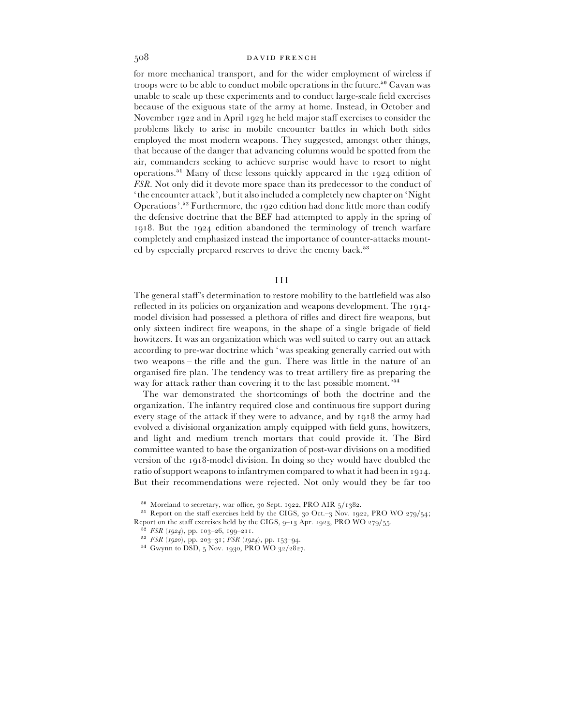for more mechanical transport, and for the wider employment of wireless if troops were to be able to conduct mobile operations in the future.<sup>50</sup> Cavan was unable to scale up these experiments and to conduct large-scale field exercises because of the exiguous state of the army at home. Instead, in October and November  $1922$  and in April  $1923$  he held major staff exercises to consider the problems likely to arise in mobile encounter battles in which both sides employed the most modern weapons. They suggested, amongst other things, that because of the danger that advancing columns would be spotted from the air, commanders seeking to achieve surprise would have to resort to night operations.<sup>51</sup> Many of these lessons quickly appeared in the  $1924$  edition of *FSR*. Not only did it devote more space than its predecessor to the conduct of ' the encounter attack', but it also included a completely new chapter on 'Night Operations'.<sup>52</sup> Furthermore, the  $1920$  edition had done little more than codify the defensive doctrine that the BEF had attempted to apply in the spring of 1918. But the 1924 edition abandoned the terminology of trench warfare completely and emphasized instead the importance of counter-attacks mounted by especially prepared reserves to drive the enemy back.<sup>53</sup>

### III

The general staff's determination to restore mobility to the battlefield was also reflected in its policies on organization and weapons development. The  $1914$ model division had possessed a plethora of rifles and direct fire weapons, but only sixteen indirect fire weapons, in the shape of a single brigade of field howitzers. It was an organization which was well suited to carry out an attack according to pre-war doctrine which 'was speaking generally carried out with two weapons – the rifle and the gun. There was little in the nature of an organised fire plan. The tendency was to treat artillery fire as preparing the way for attack rather than covering it to the last possible moment.'<sup>54</sup>

The war demonstrated the shortcomings of both the doctrine and the organization. The infantry required close and continuous fire support during every stage of the attack if they were to advance, and by 1918 the army had evolved a divisional organization amply equipped with field guns, howitzers, and light and medium trench mortars that could provide it. The Bird committee wanted to base the organization of post-war divisions on a modified version of the 1918-model division. In doing so they would have doubled the ratio of support weapons to infantrymen compared to what it had been in 1914. But their recommendations were rejected. Not only would they be far too

 $54$  Gwynn to DSD, 5 Nov. 1930, PRO WO 32/2827.

 $^{50}$  Moreland to secretary, war office, 30 Sept. 1922, PRO AIR  $_5/$ 1382.

<sup>&</sup>lt;sup>51</sup> Report on the staff exercises held by the CIGS,  $30$  Oct.– $3$  Nov. 1922, PRO WO 279/54; Report on the staff exercises held by the CIGS,  $9-13$  Apr. 1923, PRO WO 279/55.

 $^{52}$  *FSR* (*1924*), pp. 103–26, 199–211.

 $^{53}$  *FSR* (*1920*), pp. 203–31; *FSR* (*1924*), pp. 153–94.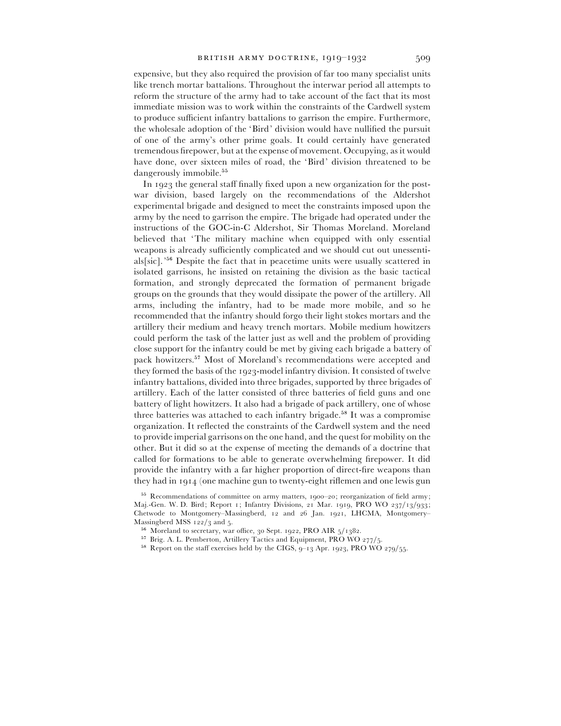expensive, but they also required the provision of far too many specialist units like trench mortar battalions. Throughout the interwar period all attempts to reform the structure of the army had to take account of the fact that its most immediate mission was to work within the constraints of the Cardwell system to produce sufficient infantry battalions to garrison the empire. Furthermore, the wholesale adoption of the 'Bird' division would have nullified the pursuit of one of the army's other prime goals. It could certainly have generated tremendous firepower, but at the expense of movement. Occupying, as it would have done, over sixteen miles of road, the 'Bird' division threatened to be dangerously immobile.<sup>55</sup>

In 1923 the general staff finally fixed upon a new organization for the postwar division, based largely on the recommendations of the Aldershot experimental brigade and designed to meet the constraints imposed upon the army by the need to garrison the empire. The brigade had operated under the instructions of the GOC-in-C Aldershot, Sir Thomas Moreland. Moreland believed that 'The military machine when equipped with only essential weapons is already sufficiently complicated and we should cut out unessentials[sic].<sup>'56</sup> Despite the fact that in peacetime units were usually scattered in isolated garrisons, he insisted on retaining the division as the basic tactical formation, and strongly deprecated the formation of permanent brigade groups on the grounds that they would dissipate the power of the artillery. All arms, including the infantry, had to be made more mobile, and so he recommended that the infantry should forgo their light stokes mortars and the artillery their medium and heavy trench mortars. Mobile medium howitzers could perform the task of the latter just as well and the problem of providing close support for the infantry could be met by giving each brigade a battery of pack howitzers.<sup>57</sup> Most of Moreland's recommendations were accepted and they formed the basis of the 1923-model infantry division. It consisted of twelve infantry battalions, divided into three brigades, supported by three brigades of artillery. Each of the latter consisted of three batteries of field guns and one battery of light howitzers. It also had a brigade of pack artillery, one of whose three batteries was attached to each infantry brigade.<sup>58</sup> It was a compromise organization. It reflected the constraints of the Cardwell system and the need to provide imperial garrisons on the one hand, and the quest for mobility on the other. But it did so at the expense of meeting the demands of a doctrine that called for formations to be able to generate overwhelming firepower. It did provide the infantry with a far higher proportion of direct-fire weapons than they had in 1914 (one machine gun to twenty-eight riflemen and one lewis gun

<sup>&</sup>lt;sup>55</sup> Recommendations of committee on army matters, 1900–20; reorganization of field army; Maj.-Gen. W. D. Bird; Report 1; Infantry Divisions, 21 Mar. 1919, PRO WO 237/13/933; Chetwode to Montgomery-Massingberd, 12 and 26 Jan. 1921, LHCMA, Montgomery-Massingberd MSS  $122/3$  and 5.

 $^{56}$  Moreland to secretary, war office, 30 Sept. 1922, PRO AIR  $_5/1382$ .

<sup>&</sup>lt;sup>57</sup> Brig. A. L. Pemberton, Artillery Tactics and Equipment, PRO WO  $277/5$ .

 $58$  Report on the staff exercises held by the CIGS, 9-13 Apr. 1923, PRO WO 279/55.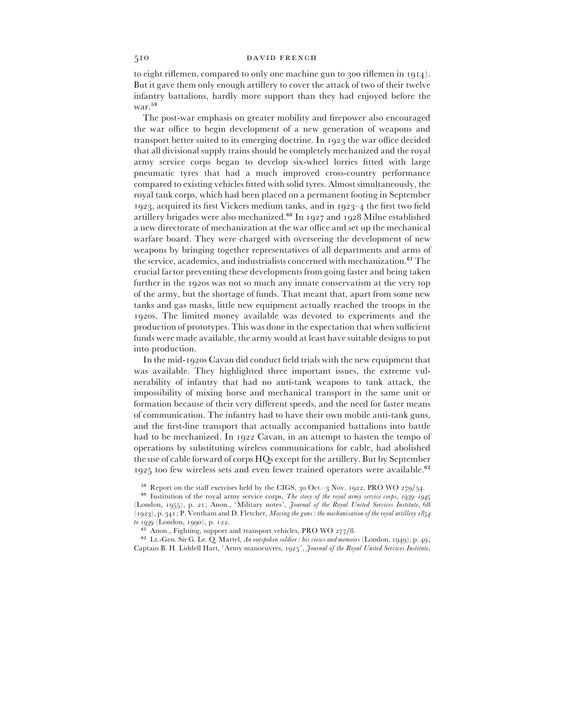to eight riflemen, compared to only one machine gun to  $300$  riflemen in  $1914$ . But it gave them only enough artillery to cover the attack of two of their twelve infantry battalions, hardly more support than they had enjoyed before the war.<sup>59</sup>

The post-war emphasis on greater mobility and firepower also encouraged the war office to begin development of a new generation of weapons and transport better suited to its emerging doctrine. In 1923 the war office decided that all divisional supply trains should be completely mechanized and the royal army service corps began to develop six-wheel lorries fitted with large pneumatic tyres that had a much improved cross-country performance compared to existing vehicles fitted with solid tyres. Almost simultaneously, the royal tank corps, which had been placed on a permanent footing in September 1923, acquired its first Vickers medium tanks, and in 1923–4 the first two field artillery brigades were also mechanized. $60$  In 1927 and 1928 Milne established a new directorate of mechanization at the war office and set up the mechanical warfare board. They were charged with overseeing the development of new weapons by bringing together representatives of all departments and arms of the service, academics, and industrialists concerned with mechanization.<sup>61</sup> The crucial factor preventing these developments from going faster and being taken further in the 1920s was not so much any innate conservatism at the very top of the army, but the shortage of funds. That meant that, apart from some new tanks and gas masks, little new equipment actually reached the troops in the 1920s. The limited money available was devoted to experiments and the production of prototypes. This was done in the expectation that when sufficient funds were made available, the army would at least have suitable designs to put into production.

In the mid-1920s Cavan did conduct field trials with the new equipment that was available. They highlighted three important issues, the extreme vulnerability of infantry that had no anti-tank weapons to tank attack, the impossibility of mixing horse and mechanical transport in the same unit or formation because of their very different speeds, and the need for faster means of communication. The infantry had to have their own mobile anti-tank guns, and the first-line transport that actually accompanied battalions into battle had to be mechanized. In  $1922$  Cavan, in an attempt to hasten the tempo of operations by substituting wireless communications for cable, had abolished the use of cable forward of corps HQs except for the artillery. But by September  $1925$  too few wireless sets and even fewer trained operators were available.<sup>62</sup>

<sup>59</sup> Report on the staff exercises held by the CIGS,  $30$  Oct.– $3$  Nov. 1922, PRO WO  $279/54$ .<br><sup>60</sup> Institution of the graph summa coming some Theorem of the graph summa coming on the state.

<sup>60</sup> Institution of the royal army service corps, *The story of the royal army service corps*, *1939–1945* (London, 1955), p. 21; Anon., 'Military notes', *Journal of the Royal United Services Institute*, 68 (1923), p. 341; P. Ventham and D. Fletcher, *Moving the guns : the mechanisation of the royal artillery* 1854 *to* 1939 (London, 1990), p. 122.

Anon., Fighting, support and transport vehicles, PRO WO  $277/8$ .

 $^{\circ\circ}$  Anon., Fighting, support and transport vehicles, PKO WO 277/8.<br><sup>62</sup> Lt.-Gen. Sir G. Le. Q. Martel, *An outspoken soldier : his views and memoirs* (London, 1949), p. 49; Captain B. H. Liddell Hart, 'Army manoeuvres, 1925', *Journal of the Royal United Services Institute*,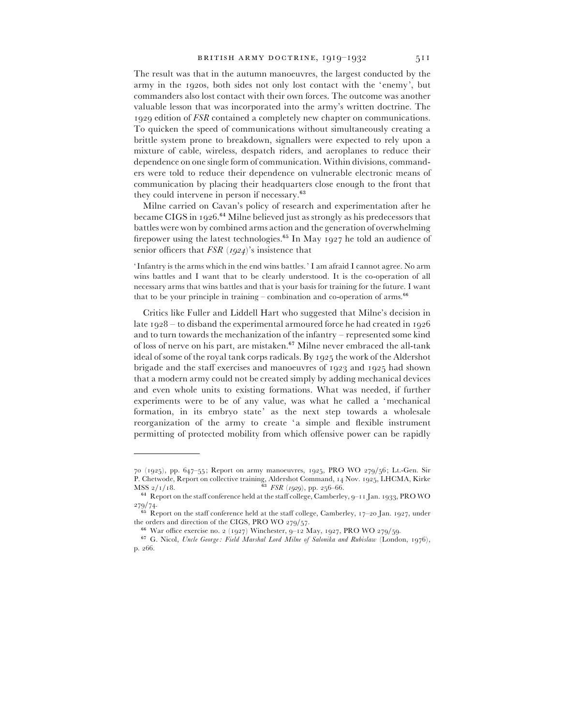The result was that in the autumn manoeuvres, the largest conducted by the army in the 1920s, both sides not only lost contact with the 'enemy', but commanders also lost contact with their own forces. The outcome was another valuable lesson that was incorporated into the army's written doctrine. The 1929 edition of *FSR* contained a completely new chapter on communications. To quicken the speed of communications without simultaneously creating a brittle system prone to breakdown, signallers were expected to rely upon a mixture of cable, wireless, despatch riders, and aeroplanes to reduce their dependence on one single form of communication. Within divisions, commanders were told to reduce their dependence on vulnerable electronic means of communication by placing their headquarters close enough to the front that they could intervene in person if necessary.<sup>63</sup>

Milne carried on Cavan's policy of research and experimentation after he became CIGS in 1926.<sup>64</sup> Milne believed just as strongly as his predecessors that battles were won by combined arms action and the generation of overwhelming firepower using the latest technologies.<sup>65</sup> In May 1927 he told an audience of senior officers that  $FSR (1924)$ 's insistence that

'Infantry is the arms which in the end wins battles.' I am afraid I cannot agree. No arm wins battles and I want that to be clearly understood. It is the co-operation of all necessary arms that wins battles and that is your basis for training for the future. I want that to be your principle in training – combination and co-operation of arms.<sup>66</sup>

Critics like Fuller and Liddell Hart who suggested that Milne's decision in late  $1928 -$  to disband the experimental armoured force he had created in  $1926$ and to turn towards the mechanization of the infantry – represented some kind of loss of nerve on his part, are mistaken.<sup>67</sup> Milne never embraced the all-tank ideal of some of the royal tank corps radicals. By 1925 the work of the Aldershot brigade and the staff exercises and manoeuvres of  $1923$  and  $1925$  had shown that a modern army could not be created simply by adding mechanical devices and even whole units to existing formations. What was needed, if further experiments were to be of any value, was what he called a 'mechanical formation, in its embryo state' as the next step towards a wholesale reorganization of the army to create 'a simple and flexible instrument permitting of protected mobility from which offensive power can be rapidly

<sup>70 (1925),</sup> pp.  $647-55$ ; Report on army manoeuvres, 1925, PRO WO 279/56; Lt.-Gen. Sir P. Chetwode, Report on collective training, Aldershot Command,  $_{14}$  Nov. 1925, LHCMA, Kirke<br>MSS  $_{2}/_{1}/_{18}$ .<br><sup>63</sup> *FSR* (*1929*), pp. 256–66.

 $64$  Report on the staff conference held at the staff college, Camberley,  $9-11$  Jan. 1933, PRO WO

<sup>279/74.&</sup>lt;br><sup>65</sup> Report on the staff conference held at the staff college, Camberley, 17–20 Jan. 1927, under the orders and direction of the CIGS, PRO WO  $279/57$ .

 $^{66}$  War office exercise no. 2 (1927) Winchester, 9–12 May, 1927, PRO WO 279/59.

<sup>&</sup>lt;sup>oo</sup> War office exercise no. 2 (1927) Winchester, 9–12 May, 1927, PKO WO 279/59.<br><sup>67</sup> G. Nicol, *Uncle George: Field Marshal Lord Milne of Salonika and Rubislaw (London, 1976)*, p. 266.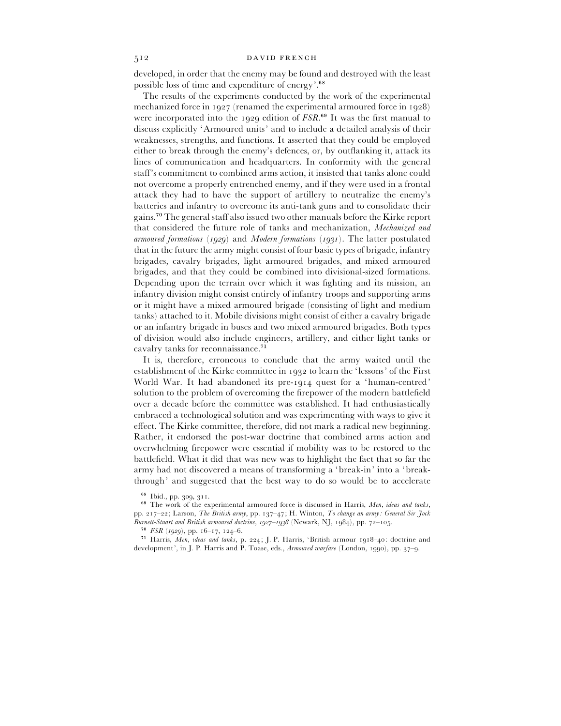developed, in order that the enemy may be found and destroyed with the least possible loss of time and expenditure of energy'.<sup>68</sup>

The results of the experiments conducted by the work of the experimental mechanized force in  $1927$  (renamed the experimental armoured force in  $1928$ ) were incorporated into the  $1929$  edition of  $FSR<sup>69</sup>$  It was the first manual to discuss explicitly 'Armoured units' and to include a detailed analysis of their weaknesses, strengths, and functions. It asserted that they could be employed either to break through the enemy's defences, or, by outflanking it, attack its lines of communication and headquarters. In conformity with the general staff's commitment to combined arms action, it insisted that tanks alone could not overcome a properly entrenched enemy, and if they were used in a frontal attack they had to have the support of artillery to neutralize the enemy's batteries and infantry to overcome its anti-tank guns and to consolidate their gains.<sup>70</sup> The general staff also issued two other manuals before the Kirke report that considered the future role of tanks and mechanization, *Mechanized and armoured formations* (1929) and *Modern formations* (1931). The latter postulated that in the future the army might consist of four basic types of brigade, infantry brigades, cavalry brigades, light armoured brigades, and mixed armoured brigades, and that they could be combined into divisional-sized formations. Depending upon the terrain over which it was fighting and its mission, an infantry division might consist entirely of infantry troops and supporting arms or it might have a mixed armoured brigade (consisting of light and medium tanks) attached to it. Mobile divisions might consist of either a cavalry brigade or an infantry brigade in buses and two mixed armoured brigades. Both types of division would also include engineers, artillery, and either light tanks or cavalry tanks for reconnaissance.<sup>71</sup>

It is, therefore, erroneous to conclude that the army waited until the establishment of the Kirke committee in 1932 to learn the 'lessons' of the First World War. It had abandoned its pre-1914 quest for a 'human-centred' solution to the problem of overcoming the firepower of the modern battlefield over a decade before the committee was established. It had enthusiastically embraced a technological solution and was experimenting with ways to give it effect. The Kirke committee, therefore, did not mark a radical new beginning. Rather, it endorsed the post-war doctrine that combined arms action and overwhelming firepower were essential if mobility was to be restored to the battlefield. What it did that was new was to highlight the fact that so far the army had not discovered a means of transforming a 'break-in' into a 'breakthrough' and suggested that the best way to do so would be to accelerate

'\* The work of the experimental armoured force is discussed in Harris, *Men*, *ideas and tanks*, pp. 217-22; Larson, *The British army*, pp. 137-47; H. Winton, *To change an army: General Sir Jock Burnett-Stuart and British armoured doctrine, 1927–1938* (Newark, NJ, 1984), pp. 72–105.

 $^{70}$  *FSR* (*1929*), pp. 16–17, 124–6.

<sup>71</sup> Harris, *Men*, *ideas and tanks*, p. 224; J. P. Harris, 'British armour 1918-40: doctrine and development', in J. P. Harris and P. Toase, eds., *Armoured warfare* (London, 1990), pp. 37-9.

<sup>&</sup>lt;sup>68</sup> Ibid., pp. 309, 311.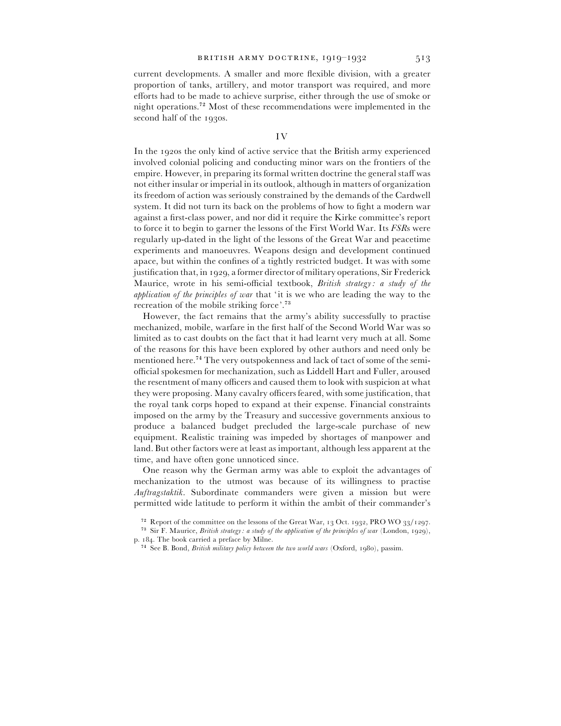current developments. A smaller and more flexible division, with a greater proportion of tanks, artillery, and motor transport was required, and more efforts had to be made to achieve surprise, either through the use of smoke or night operations.<sup>72</sup> Most of these recommendations were implemented in the second half of the 1930s.

In the 1920s the only kind of active service that the British army experienced involved colonial policing and conducting minor wars on the frontiers of the empire. However, in preparing its formal written doctrine the general staff was not either insular or imperial in its outlook, although in matters of organization its freedom of action was seriously constrained by the demands of the Cardwell system. It did not turn its back on the problems of how to fight a modern war against a first-class power, and nor did it require the Kirke committee's report to force it to begin to garner the lessons of the First World War. Its *FSR*s were regularly up-dated in the light of the lessons of the Great War and peacetime experiments and manoeuvres. Weapons design and development continued apace, but within the confines of a tightly restricted budget. It was with some justification that, in 1929, a former director of military operations, Sir Frederick Maurice, wrote in his semi-official textbook, *British strategy : a study of the application of the principles of war* that 'it is we who are leading the way to the recreation of the mobile striking force'.<sup>73</sup>

However, the fact remains that the army's ability successfully to practise mechanized, mobile, warfare in the first half of the Second World War was so limited as to cast doubts on the fact that it had learnt very much at all. Some of the reasons for this have been explored by other authors and need only be mentioned here.<sup>74</sup> The very outspokenness and lack of tact of some of the semiofficial spokesmen for mechanization, such as Liddell Hart and Fuller, aroused the resentment of many officers and caused them to look with suspicion at what they were proposing. Many cavalry officers feared, with some justification, that the royal tank corps hoped to expand at their expense. Financial constraints imposed on the army by the Treasury and successive governments anxious to produce a balanced budget precluded the large-scale purchase of new equipment. Realistic training was impeded by shortages of manpower and land. But other factors were at least as important, although less apparent at the time, and have often gone unnoticed since.

One reason why the German army was able to exploit the advantages of mechanization to the utmost was because of its willingness to practise *Auftragstaktik*. Subordinate commanders were given a mission but were permitted wide latitude to perform it within the ambit of their commander's

 $^{72}$  Report of the committee on the lessons of the Great War, 13 Oct. 1932, PRO WO 33/1297.

 $^{73}$  Sir F. Maurice, *British strategy: a study of the application of the principles of war* (London, 1929), p. 184. The book carried a preface by Milne.

<sup>&</sup>lt;sup>74</sup> See B. Bond, *British military policy between the two world wars* (Oxford, 1980), passim.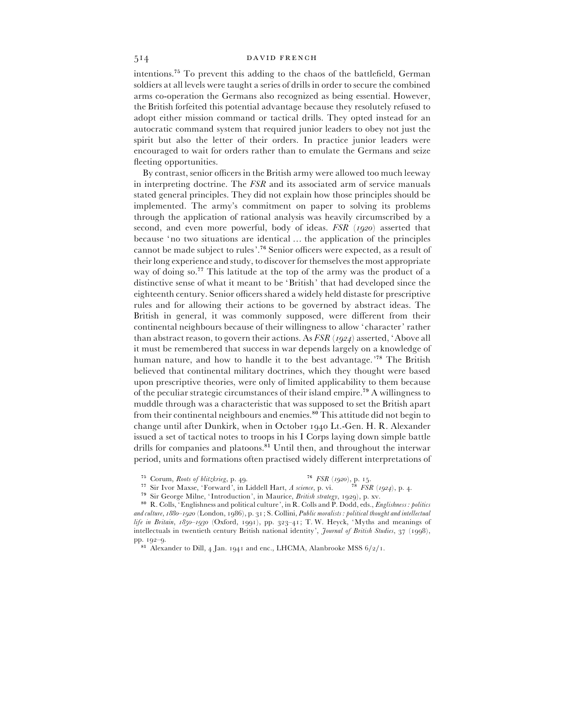intentions.<sup>75</sup> To prevent this adding to the chaos of the battlefield, German soldiers at all levels were taught a series of drills in order to secure the combined arms co-operation the Germans also recognized as being essential. However, the British forfeited this potential advantage because they resolutely refused to adopt either mission command or tactical drills. They opted instead for an autocratic command system that required junior leaders to obey not just the spirit but also the letter of their orders. In practice junior leaders were encouraged to wait for orders rather than to emulate the Germans and seize fleeting opportunities.

By contrast, senior officers in the British army were allowed too much leeway in interpreting doctrine. The *FSR* and its associated arm of service manuals stated general principles. They did not explain how those principles should be implemented. The army's commitment on paper to solving its problems through the application of rational analysis was heavily circumscribed by a second, and even more powerful, body of ideas. *FSR* (1920) asserted that because 'no two situations are identical … the application of the principles cannot be made subject to rules'.<sup>76</sup> Senior officers were expected, as a result of their long experience and study, to discover for themselves the most appropriate way of doing so.<sup>77</sup> This latitude at the top of the army was the product of a distinctive sense of what it meant to be 'British' that had developed since the eighteenth century. Senior officers shared a widely held distaste for prescriptive rules and for allowing their actions to be governed by abstract ideas. The British in general, it was commonly supposed, were different from their continental neighbours because of their willingness to allow 'character' rather than abstract reason, to govern their actions. As *FSR* (1924) asserted, 'Above all it must be remembered that success in war depends largely on a knowledge of human nature, and how to handle it to the best advantage.<sup>'78</sup> The British believed that continental military doctrines, which they thought were based upon prescriptive theories, were only of limited applicability to them because of the peculiar strategic circumstances of their island empire.<sup>79</sup> A willingness to muddle through was a characteristic that was supposed to set the British apart from their continental neighbours and enemies.<sup>80</sup> This attitude did not begin to change until after Dunkirk, when in October 1940 Lt.-Gen. H. R. Alexander issued a set of tactical notes to troops in his I Corps laying down simple battle drills for companies and platoons.<sup>81</sup> Until then, and throughout the interwar period, units and formations often practised widely different interpretations of

<sup>&</sup>lt;sup>75</sup> Corum, *Roots of blitzkrieg*, p. 49.

Sir Ivor Maxse, 'Forward', in Liddell Hart, *A science*, p. vi. <sup>78</sup> *FSR* (1924), p. 4.<br><sup>77</sup> Sir Ivor Maxse, 'Forward', in Liddell Hart, *A science*, p. vi. <sup>78</sup> *FSR* (1924), p. 4.

<sup>&</sup>lt;sup>79</sup> Sir George Milne, 'Introduction', in Maurice, *British strategy*, 1929), p. xv.

R. Colls, 'Englishness and political culture', in R. Colls and P. Dodd, eds., *Englishness : politics* and culture,  $1880 - 1920$  (London, 1986), p. 31; S. Collini, *Public moralists: political thought and intellectual life in Britain*,  $1850 - 1930$  (Oxford, 1991), pp. 323-41; T. W. Heyck, 'Myths and meanings of intellectuals in twentieth century British national identity', *Journal of British Studies*, 37 (1998),  $pp. 192 - 9.$ 

 $^{81}$  Alexander to Dill, 4 Jan. 1941 and enc., LHCMA, Alanbrooke MSS  $6/2/1.$